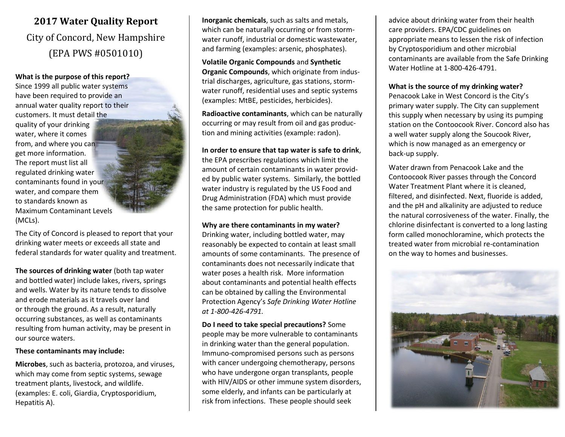# **2017 Water Quality Report** City of Concord, New Hampshire (EPA PWS #0501010)

#### **What is the purpose of this report?**

Since 1999 all public water systems have been required to provide an annual water quality report to their customers. It must detail the quality of your drinking water, where it comes from, and where you can get more information. The report must list all regulated drinking water contaminants found in your water, and compare them to standards known as Maximum Contaminant Levels (MCLs).

The City of Concord is pleased to report that your drinking water meets or exceeds all state and federal standards for water quality and treatment.

**The sources of drinking water** (both tap water and bottled water) include lakes, rivers, springs and wells. Water by its nature tends to dissolve and erode materials as it travels over land or through the ground. As a result, naturally occurring substances, as well as contaminants resulting from human activity, may be present in our source waters.

#### **These contaminants may include:**

**Microbes**, such as bacteria, protozoa, and viruses, which may come from septic systems, sewage treatment plants, livestock, and wildlife. (examples: E. coli, Giardia, Cryptosporidium, Hepatitis A).

**Inorganic chemicals**, such as salts and metals, which can be naturally occurring or from stormwater runoff, industrial or domestic wastewater, and farming (examples: arsenic, phosphates).

**Volatile Organic Compounds** and **Synthetic Organic Compounds**, which originate from industrial discharges, agriculture, gas stations, stormwater runoff, residential uses and septic systems (examples: MtBE, pesticides, herbicides).

**Radioactive contaminants**, which can be naturally occurring or may result from oil and gas production and mining activities (example: radon).

### **In order to ensure that tap water is safe to drink**,

the EPA prescribes regulations which limit the amount of certain contaminants in water provided by public water systems. Similarly, the bottled water industry is regulated by the US Food and Drug Administration (FDA) which must provide the same protection for public health.

#### **Why are there contaminants in my water?**

Drinking water, including bottled water, may reasonably be expected to contain at least small amounts of some contaminants. The presence of contaminants does not necessarily indicate that water poses a health risk. More information about contaminants and potential health effects can be obtained by calling the Environmental Protection Agency's *Safe Drinking Water Hotline at 1-800-426-4791.*

**Do I need to take special precautions?** Some people may be more vulnerable to contaminants in drinking water than the general population. Immuno-compromised persons such as persons with cancer undergoing chemotherapy, persons who have undergone organ transplants, people with HIV/AIDS or other immune system disorders, some elderly, and infants can be particularly at risk from infections. These people should seek

advice about drinking water from their health care providers. EPA/CDC guidelines on appropriate means to lessen the risk of infection by Cryptosporidium and other microbial contaminants are available from the Safe Drinking Water Hotline at 1-800-426-4791.

## **What is the source of my drinking water?**

Penacook Lake in West Concord is the City's primary water supply. The City can supplement this supply when necessary by using its pumping station on the Contoocook River. Concord also has a well water supply along the Soucook River, which is now managed as an emergency or back-up supply.

Water drawn from Penacook Lake and the Contoocook River passes through the Concord Water Treatment Plant where it is cleaned, filtered, and disinfected. Next, fluoride is added, and the pH and alkalinity are adjusted to reduce the natural corrosiveness of the water. Finally, the chlorine disinfectant is converted to a long lasting form called monochloramine, which protects the treated water from microbial re-contamination on the way to homes and businesses.

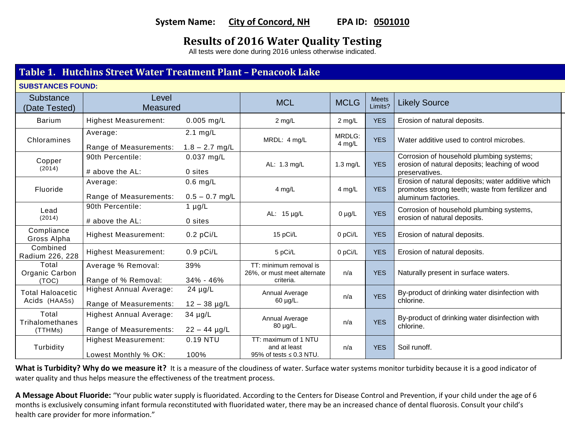# **System Name: City of Concord, NH EPA ID: 0501010**

# **Results of 2016 Water Quality Testing**

All tests were done during 2016 unless otherwise indicated.

# **Table 1. Hutchins Street Water Treatment Plant – Penacook Lake**

**SUBSTANCES FOUND:**

| Substance<br>(Date Tested)          | Level<br><b>Measured</b>                                 |                                        | <b>MCL</b>                                                           | <b>Meets</b><br><b>MCLG</b><br>Limits? |            | <b>Likely Source</b>                                                                                                         |  |
|-------------------------------------|----------------------------------------------------------|----------------------------------------|----------------------------------------------------------------------|----------------------------------------|------------|------------------------------------------------------------------------------------------------------------------------------|--|
| <b>Barium</b>                       | <b>Highest Measurement:</b>                              | $0.005$ mg/L                           | $2$ mg/L                                                             | $2$ mg/L                               | <b>YES</b> | Erosion of natural deposits.                                                                                                 |  |
| Chloramines                         | Average:<br>Range of Measurements:                       | $2.1 \text{ mg/L}$<br>$1.8 - 2.7$ mg/L | MRDL: 4 mg/L                                                         | MRDLG:<br>4 mg/L                       | <b>YES</b> | Water additive used to control microbes.                                                                                     |  |
| Copper<br>(2014)                    | 90th Percentile:<br># above the AL:                      | $0.037$ mg/L<br>0 sites                | AL: 1.3 mg/L                                                         | 1.3 $mg/L$                             | <b>YES</b> | Corrosion of household plumbing systems;<br>erosion of natural deposits; leaching of wood<br>preservatives.                  |  |
| Fluoride                            | Average:<br>Range of Measurements:                       | $0.6$ mg/L<br>$0.5 - 0.7$ mg/L         | 4 mg/L                                                               | 4 mg/L                                 | <b>YES</b> | Erosion of natural deposits; water additive which<br>promotes strong teeth; waste from fertilizer and<br>aluminum factories. |  |
| Lead<br>(2014)                      | 90th Percentile:<br># above the AL:                      | 1 $\mu$ g/L<br>0 sites                 | AL: 15 µg/L                                                          | $0 \mu g/L$                            | <b>YES</b> | Corrosion of household plumbing systems,<br>erosion of natural deposits.                                                     |  |
| Compliance<br>Gross Alpha           | <b>Highest Measurement:</b>                              | $0.2$ pCi/L                            | 15 pCi/L                                                             | 0 pCi/L                                | <b>YES</b> | Erosion of natural deposits.                                                                                                 |  |
| Combined<br>Radium 226, 228         | <b>Highest Measurement:</b>                              | $0.9$ pCi/L                            | 5 pCi/L                                                              | 0 pCi/L                                | <b>YES</b> | Erosion of natural deposits.                                                                                                 |  |
| Total<br>Organic Carbon<br>(TOC)    | Average % Removal:<br>Range of % Removal:                | 39%<br>34% - 46%                       | TT: minimum removal is<br>26%, or must meet alternate<br>criteria.   | n/a                                    | <b>YES</b> | Naturally present in surface waters.                                                                                         |  |
| Total Haloacetic<br>Acids (HAA5s)   | <b>Highest Annual Average:</b><br>Range of Measurements: | $24 \mu g/L$<br>$12 - 38$ µg/L         | Annual Average<br>60 µg/L.                                           | n/a                                    | <b>YES</b> | By-product of drinking water disinfection with<br>chlorine.                                                                  |  |
| Total<br>Trihalomethanes<br>(TTHMs) | <b>Highest Annual Average:</b><br>Range of Measurements: | $34 \mu g/L$<br>$22 - 44$ µg/L         | Annual Average<br>80 µg/L.                                           | n/a                                    | <b>YES</b> | By-product of drinking water disinfection with<br>chlorine.                                                                  |  |
| Turbidity                           | <b>Highest Measurement:</b><br>Lowest Monthly % OK:      | 0.19 NTU<br>100%                       | TT: maximum of 1 NTU<br>and at least<br>95% of tests $\leq$ 0.3 NTU. | n/a                                    | <b>YES</b> | Soil runoff.                                                                                                                 |  |

What is Turbidity? Why do we measure it? It is a measure of the cloudiness of water. Surface water systems monitor turbidity because it is a good indicator of water quality and thus helps measure the effectiveness of the treatment process.

**A Message About Fluoride:** "Your public water supply is fluoridated. According to the Centers for Disease Control and Prevention, if your child under the age of 6 months is exclusively consuming infant formula reconstituted with fluoridated water, there may be an increased chance of dental fluorosis. Consult your child's health care provider for more information."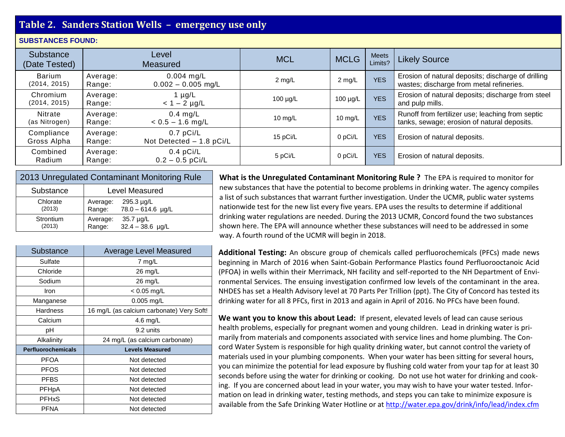# **Table 2. Sanders Station Wells – emergency use only**

#### **SUBSTANCES FOUND:**

| Substance<br>(Date Tested)    | Level<br><b>Measured</b> |                                         | <b>MCL</b>    | <b>MCLG</b>   | <b>Meets</b><br>Limits? | <b>Likely Source</b>                                                                            |
|-------------------------------|--------------------------|-----------------------------------------|---------------|---------------|-------------------------|-------------------------------------------------------------------------------------------------|
| <b>Barium</b><br>(2014, 2015) | Average:<br>Range:       | $0.004$ mg/L<br>$0.002 - 0.005$ mg/L    | $2$ mg/L      | $2$ mg/L      | <b>YES</b>              | Erosion of natural deposits; discharge of drilling<br>wastes; discharge from metal refineries.  |
| Chromium<br>(2014, 2015)      | Average:<br>Range:       | $\mu$ g/L<br>$< 1 - 2$ µg/L             | $100 \mu g/L$ | $100 \mu g/L$ | <b>YES</b>              | Erosion of natural deposits; discharge from steel<br>and pulp mills.                            |
| Nitrate<br>(as Nitrogen)      | Average:<br>Range:       | $0.4$ mg/L<br>$< 0.5 - 1.6$ mg/L        | 10 mg/ $L$    | 10 mg/L       | <b>YES</b>              | Runoff from fertilizer use; leaching from septic<br>tanks, sewage; erosion of natural deposits. |
| Compliance<br>Gross Alpha     | Average:<br>Range:       | $0.7$ pCi/L<br>Not Detected - 1.8 pCi/L | 15 pCi/L      | 0 pCi/L       | <b>YES</b>              | Erosion of natural deposits.                                                                    |
| Combined<br>Radium            | Average:<br>Range:       | $0.4$ pCi/L<br>$0.2 - 0.5$ pCi/L        | 5 pCi/L       | 0 pCi/L       | <b>YES</b>              | Erosion of natural deposits.                                                                    |

| 2013 Unregulated Contaminant Monitoring Rule |                |                     |  |  |  |
|----------------------------------------------|----------------|---------------------|--|--|--|
| Substance                                    | Level Measured |                     |  |  |  |
| Chlorate                                     | Average:       | 295.3 µg/L          |  |  |  |
| (2013)                                       | Range:         | $78.0 - 614.6$ µg/L |  |  |  |
| Strontium                                    | Average:       | $35.7 \mu g/L$      |  |  |  |
| (2013)                                       | Range:         | $32.4 - 38.6$ µg/L  |  |  |  |

| Substance                 | Average Level Measured                    |
|---------------------------|-------------------------------------------|
| Sulfate                   | $7 \text{ mg/L}$                          |
| Chloride                  | $26 \text{ mg/L}$                         |
| Sodium                    | 26 mg/L                                   |
| Iron                      | $< 0.05$ mg/L                             |
| Manganese                 | 0.005 mg/L                                |
| Hardness                  | 16 mg/L (as calcium carbonate) Very Soft! |
| Calcium                   | 4.6 mg/L                                  |
| рH                        | 9.2 units                                 |
| Alkalinity                | 24 mg/L (as calcium carbonate)            |
| <b>Perfluorochemicals</b> | <b>Levels Measured</b>                    |
| <b>PFOA</b>               | Not detected                              |
| <b>PFOS</b>               | Not detected                              |
| <b>PFBS</b>               | Not detected                              |
| <b>PFHpA</b>              | Not detected                              |
| <b>PFHxS</b>              | Not detected                              |
| <b>PFNA</b>               | Not detected                              |

**What is the Unregulated Contaminant Monitoring Rule ?** The EPA is required to monitor for new substances that have the potential to become problems in drinking water. The agency compiles a list of such substances that warrant further investigation. Under the UCMR, public water systems nationwide test for the new list every five years. EPA uses the results to determine if additional drinking water regulations are needed. During the 2013 UCMR, Concord found the two substances shown here. The EPA will announce whether these substances will need to be addressed in some way. A fourth round of the UCMR will begin in 2018.

**Additional Testing:** An obscure group of chemicals called perfluorochemicals (PFCs) made news beginning in March of 2016 when Saint-Gobain Performance Plastics found Perfluorooctanoic Acid (PFOA) in wells within their Merrimack, NH facility and self-reported to the NH Department of Environmental Services. The ensuing investigation confirmed low levels of the contaminant in the area. NHDES has set a Health Advisory level at 70 Parts Per Trillion (ppt). The City of Concord has tested its drinking water for all 8 PFCs, first in 2013 and again in April of 2016. No PFCs have been found.

**We want you to know this about Lead:** If present, elevated levels of lead can cause serious health problems, especially for pregnant women and young children. Lead in drinking water is primarily from materials and components associated with service lines and home plumbing. The Concord Water System is responsible for high quality drinking water, but cannot control the variety of materials used in your plumbing components. When your water has been sitting for several hours, you can minimize the potential for lead exposure by flushing cold water from your tap for at least 30 seconds before using the water for drinking or cooking. Do not use hot water for drinking and cooking. If you are concerned about lead in your water, you may wish to have your water tested. Information on lead in drinking water, testing methods, and steps you can take to minimize exposure is available from the Safe Drinking Water Hotline or a[t http://water.epa.gov/drink/info/lead/index.cfm](http://water.epa.gov/drink/info/lead/index.cfm)